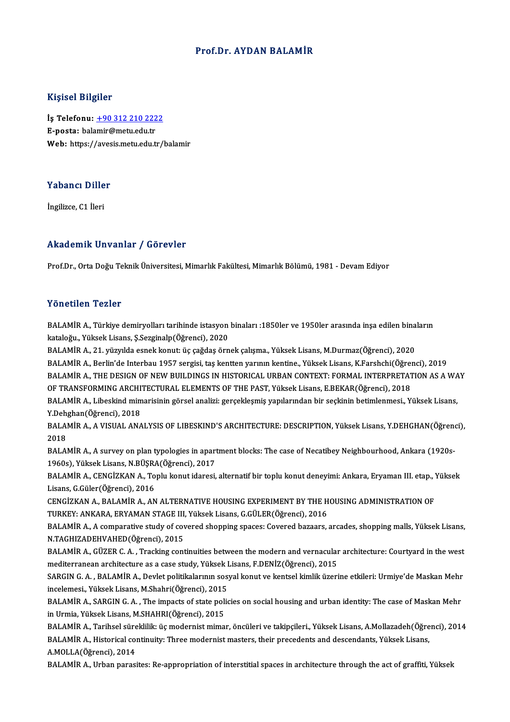### Prof.Dr. AYDAN BALAMİR

### Kişisel Bilgiler

Kişisel Bilgiler<br>İş Telefonu: <u>+90 312 210 2222</u><br>E nosta: belamir@met: edu.tr 11191001 Duguot<br>İş Telefonu: <u>+90 312 210 222</u><br>E-posta: bal[amir@metu.edu.tr](tel:+90 312 210 2222) E-posta: balamir@metu.edu.tr<br>Web: https://avesis.metu.edu.tr/balamir

### Yabancı Diller<br>Yabancı Diller Y<mark>abancı Dille</mark><br>İngilizce, C1 İleri

## Akademik Unvanlar / Görevler

Prof.Dr., Orta Doğu Teknik Üniversitesi, Mimarlık Fakültesi, Mimarlık Bölümü, 1981 - Devam Ediyor

### Yönetilen Tezler

Yönetilen Tezler<br>BALAMİR A., Türkiye demiryolları tarihinde istasyon binaları :1850ler ve 1950ler arasında inşa edilen binaların<br>kataloğu, Yüksek Lisane S Serginala(Öğrensi), 2020 kataloğu., Yüksek<br>BALAMİR A., Türkiye demiryolları tarihinde istasyon<br>kataloğu., Yüksek Lisans, Ş.Sezginalp(Öğrenci), 2020<br>RALAMİR A. 21. vüzyılda senak kaput, üs sağdas örn BALAMİR A., Türkiye demiryolları tarihinde istasyon binaları :1850ler ve 1950ler arasında inşa edilen bina<br>kataloğu., Yüksek Lisans, Ş.Sezginalp(Öğrenci), 2020<br>BALAMİR A., 21. yüzyılda esnek konut: üç çağdaş örnek çalışma.

kataloğu., Yüksek Lisans, Ş.Sezginalp(Öğrenci), 2020<br>BALAMİR A., 21. yüzyılda esnek konut: üç çağdaş örnek çalışma., Yüksek Lisans, M.Durmaz(Öğrenci), 2020<br>BALAMİR A., Berlin'de Interbau 1957 sergisi, taş kentten yarının k BALAMİR A., Berlin'de Interbau 1957 sergisi, taş kentten yarının kentine., Yüksek Lisans, K.Farshchi(Öğrenci), 2019<br>BALAMİR A., THE DESIGN OF NEW BUILDINGS IN HISTORICAL URBAN CONTEXT: FORMAL INTERPRETATION AS A WAY OF TRANSFORMINGARCHITECTURAL ELEMENTSOF THEPAST,YüksekLisans,E.BEKAR(Öğrenci),2018 BALAMİR A., THE DESIGN OF NEW BUILDINGS IN HISTORICAL URBAN CONTEXT: FORMAL INTERPRETATION AS A WA<br>OF TRANSFORMING ARCHITECTURAL ELEMENTS OF THE PAST, Yüksek Lisans, E.BEKAR(Öğrenci), 2018<br>BALAMİR A., Libeskind mimarisinin OF TRANSFORMING ARCHI<br>BALAMİR A., Libeskind mim<br>Y.Dehghan(Öğrenci), 2018<br>BALAMİR A. A VISUALANA BALAMİR A., Libeskind mimarisinin görsel analizi: gerçekleşmiş yapılarından bir seçkinin betimlenmesi., Yüksek Lisans,<br>Y.Dehghan(Öğrenci), 2018<br>BALAMİR A., A VISUAL ANALYSIS OF LIBESKIND'S ARCHITECTURE: DESCRIPTION, Yüksek

Y.Dehghan(Öğrenci), 2018<br>BALAMİR A., A VISUAL ANALYSIS OF LIBESKIND'S ARCHITECTURE: DESCRIPTION, Yüksek Lisans, Y.DEHGHAN(Öğrend<br>2018<br>BALAMİR A., A survey on plan typologies in apartment blocks: The case of Necatibey Neigh BALAMİRA., A VISUAL ANALYSIS OF LIBESKIND'S ARCHITECTURE: DESCRIPTION, Yüksek Lisans, Y.DEHGHAN(Öğrenci),

2018<br>BALAMİR A., A survey on plan typologies in apart<br>1960s), Yüksek Lisans, N.BÜŞRA(Öğrenci), 2017<br>BALAMİR A. GENGİZKAN A. Toplu konut idensti

BALAMİR A., CENGİZKAN A., Toplu konut idaresi, alternatif bir toplu konut deneyimi: Ankara, Eryaman III. etap., Yüksek<br>Lisans, G.Güler(Öğrenci), 2016 1960s), Yüksek Lisans, N.BÜŞRA<br>BALAMİR A., CENGİZKAN A., To<br>Lisans, G.Güler(Öğrenci), 2016<br>CENGİZKAN A., BALAMİR A., AN BALAMİR A., CENGİZKAN A., Toplu konut idaresi, alternatif bir toplu konut deneyimi: Ankara, Eryaman III. etap., '<br>Lisans, G.Güler(Öğrenci), 2016<br>CENGİZKAN A., BALAMİR A., AN ALTERNATIVE HOUSING EXPERIMENT BY THE HOUSING AD

Lisans, G.Güler(Öğrenci), 2016<br>CENGİZKAN A., BALAMİR A., AN ALTERNATIVE HOUSING EXPERIMENT BY THE H<br>TURKEY: ANKARA, ERYAMAN STAGE III, Yüksek Lisans, G.GÜLER(Öğrenci), 2016<br>BALAMİR A. A semperative study of severed shappin CENGİZKAN A., BALAMİR A., AN ALTERNATIVE HOUSING EXPERIMENT BY THE HOUSING ADMINISTRATION OF<br>TURKEY: ANKARA, ERYAMAN STAGE III, Yüksek Lisans, G.GÜLER(Öğrenci), 2016<br>BALAMİR A., A comparative study of covered shopping spac

TURKEY: ANKARA, ERYAMAN STAGE III, Yüksek Lisans, G.GÜLER(Öğrenci), 2016<br>BALAMİR A., A comparative study of covered shopping spaces: Covered bazaars, arcades, shopping malls, Yüksek Lisans,<br>N.TAGHIZADEHVAHED(Öğrenci), 2015 BALAMİR A., A comparative study of covered shopping spaces: Covered bazaars, arcades, shopping malls, Yüksek Lisans,<br>N.TAGHIZADEHVAHED(Öğrenci), 2015<br>BALAMİR A., GÜZER C. A. , Tracking continuities between the modern and v

mediterranean architecture as a case study, Yüksek Lisans, F.DENİZ(Öğrenci), 2015 BALAMİR A., GÜZER C. A. , Tracking continuities between the modern and vernacular architecture: Courtyard in the west<br>mediterranean architecture as a case study, Yüksek Lisans, F.DENİZ(Öğrenci), 2015<br>SARGIN G. A. , BALAMİR

mediterranean architecture as a case study, Yüksek I<br>SARGIN G. A. , BALAMİR A., Devlet politikalarının sos:<br>incelemesi., Yüksek Lisans, M.Shahri(Öğrenci), 2015<br>PALAMİR A. SARGIN G. A. The impacts of state polit SARGIN G. A. , BALAMİR A., Devlet politikalarının sosyal konut ve kentsel kimlik üzerine etkileri: Urmiye'de Maskan Mehr<br>incelemesi., Yüksek Lisans, M.Shahri(Öğrenci), 2015<br>BALAMİR A., SARGIN G. A. , The impacts of state p

incelemesi., Yüksek Lisans, M.Shahri(Öğrenci), 2015<br>BALAMİR A., SARGIN G. A. , The impacts of state policies on social housing and urban identity: The case of Maskan Mehr<br>in Urmia, Yüksek Lisans, M.SHAHRI(Öğrenci), 2015 BALAMİR A., SARGIN G. A. , The impacts of state policies on social housing and urban identity: The case of Maskan Mehr<br>in Urmia, Yüksek Lisans, M.SHAHRI(Öğrenci), 2015<br>BALAMİR A., Tarihsel süreklilik: üç modernist mimar, ö

in Urmia, Yüksek Lisans, M.SHAHRI(Öğrenci), 2015<br>BALAMİR A., Tarihsel süreklilik: üç modernist mimar, öncüleri ve takipçileri., Yüksek Lisans, A.Mollazadeh(Öğre<br>BALAMİR A., Historical continuity: Three modernist masters, t BALAMİR A., Tarihsel süre<br>BALAMİR A., Historical co<br>A.MOLLA(Öğrenci), 2014<br>BALAMİR A., Urbon parası BALAMİR A., Historical continuity: Three modernist masters, their precedents and descendants, Yüksek Lisans,<br>A.MOLLA(Öğrenci), 2014<br>BALAMİR A., Urban parasites: Re-appropriation of interstitial spaces in architecture throu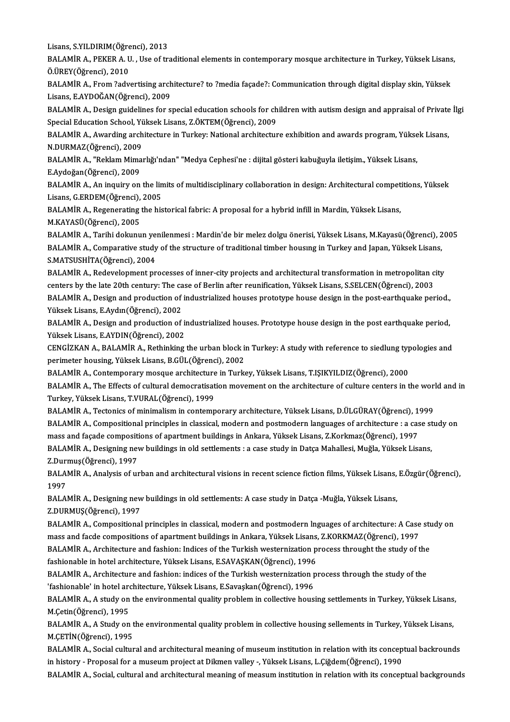Lisans, S.YILDIRIM(Öğrenci), 2013<br>PALAMİR A, PEKER A, IL, Use ef tr

Lisans, S.YILDIRIM(Öğrenci), 2013<br>BALAMİR A., PEKER A. U. , Use of traditional elements in contemporary mosque architecture in Turkey, Yüksek Lisans,<br>Ö ÜREV(Öğrensi), 2010 Lisans, S.YILDIRIM(Öğre<br>BALAMİR A., PEKER A. U<br>Ö.ÜREY(Öğrenci), 2010<br>BALAMİR A., Erom <sup>2</sup>odu BALAMİR A., PEKER A. U. , Use of traditional elements in contemporary mosque architecture in Turkey, Yüksek Lisans<br>Ö.ÜREY(Öğrenci), 2010<br>BALAMİR A., From ?advertising architecture? to ?media façade?: Communication through

Ö.ÜREY(Öğrenci), 2010<br>BALAMİR A., From ?advertising architecture? to ?media façade?: Communication through digital display skin, Yüksek<br>Lisans, E.AYDOĞAN(Öğrenci), 2009 BALAMİR A., From ?advertising architecture? to ?media façade?: Communication through digital display skin, Yüksek<br>Lisans, E.AYDOĞAN(Öğrenci), 2009<br>BALAMİR A., Design guidelines for special education schools for children wi

Lisans, E.AYDOĞAN(Öğrenci), 2009<br>BALAMİR A., Design guidelines for special education schools for ch<br>Special Education School, Yüksek Lisans, Z.ÖKTEM(Öğrenci), 2009<br>RALAMİR A. Avyarding arebitecture in Turkeyy National areb Special Education School, Yüksek Lisans, Z.ÖKTEM(Öğrenci), 2009

BALAMİR A., Awarding architecture in Turkey: National architecture exhibition and awards program, Yüksek Lisans,<br>N,DURMAZ(Öğrenci), 2009 BALAMİR A., Awarding architecture in Turkey: National architecture exhibition and awards program, Yükse<br>N.DURMAZ(Öğrenci), 2009<br>BALAMİR A., "Reklam Mimarlığı'ndan" "Medya Cephesi'ne : dijital gösteri kabuğuyla iletişim., Y

N.DURMAZ(Öğrenci), 2009<br>BALAMİR A., "Reklam Mima<br>E.Aydoğan(Öğrenci), 2009<br>BALAMİB A. An inquiry on BALAMİR A., "Reklam Mimarlığı'ndan" "Medya Cephesi'ne : dijital gösteri kabuğuyla iletişim., Yüksek Lisans,<br>E.Aydoğan(Öğrenci), 2009<br>BALAMİR A., An inquiry on the limits of multidisciplinary collaboration in design: Archit

E.Aydoğan(Öğrenci), 2009<br>BALAMİR A., An inquiry on the limits of multidisciplinary collaboration in design: Architectural competitions, Yüksek<br>Lisans, G.ERDEM(Öğrenci), 2005 BALAMİR A., An inquiry on the limits of multidisciplinary collaboration in design: Architectural compet<br>Lisans, G.ERDEM(Öğrenci), 2005<br>BALAMİR A., Regenerating the historical fabric: A proposal for a hybrid infill in Mardi

Lisans, G.ERDEM(Öğrenci),<br>BALAMİR A., Regenerating<br>M.KAYASÜ(Öğrenci), 2005<br>BALAMİR A. Təribi dolunu BALAMİR A., Regenerating the historical fabric: A proposal for a hybrid infill in Mardin, Yüksek Lisans,<br>M.KAYASÜ(Öğrenci), 2005<br>BALAMİR A., Tarihi dokunun yenilenmesi : Mardin'de bir melez dolgu önerisi, Yüksek Lisans, M.

M.KAYASÜ(Öğrenci), 2005<br>BALAMİR A., Tarihi dokunun yenilenmesi : Mardin'de bir melez dolgu önerisi, Yüksek Lisans, M.Kayasü(Öğrenci), 2<br>BALAMİR A., Comparative study of the structure of traditional timber housıng in Turkey BALAMİR A., Tarihi dokunun ye<br>BALAMİR A., Comparative study<br>S.MATSUSHİTA(Öğrenci), 2004<br>BALAMİB A., Redevelarment nr BALAMİR A., Comparative study of the structure of traditional timber housing in Turkey and Japan, Yüksek Lisans,<br>S.MATSUSHİTA(Öğrenci), 2004<br>BALAMİR A., Redevelopment processes of inner-city projects and architectural tran

S.MATSUSHİTA(Öğrenci), 2004<br>BALAMİR A., Redevelopment processes of inner-city projects and architectural transformation in metropolitan c<br>centers by the late 20th century: The case of Berlin after reunification, Yüksek Lis BALAMİR A., Redevelopment processes of inner-city projects and architectural transformation in metropolitan city<br>centers by the late 20th century: The case of Berlin after reunification, Yüksek Lisans, S.SELCEN(Öğrenci), 2 centers by the late 20th century: The case of Berlin after reunification, Yüksek Lisans, S.SELCEN(Öğrenci), 2003<br>BALAMİR A., Design and production of industrialized houses prototype house design in the post-earthquake peri

BALAMİR A., Design and production of industrialized houses prototype house design in the post-earthquake period.,<br>Yüksek Lisans, E.Aydın(Öğrenci), 2002<br>BALAMİR A., Design and production of industrialized houses. Prototype Yüksek Lisans, E.Aydın(Öğrenci), 2002<br>BALAMİR A., Design and production of in<br>Yüksek Lisans, E.AYDIN(Öğrenci), 2002<br>CENCİZKAN A. BALAMİR A. Bethinking BALAMİR A., Design and production of industrialized houses. Prototype house design in the post earthquake period,<br>Yüksek Lisans, E.AYDIN(Öğrenci), 2002<br>CENGİZKAN A., BALAMİR A., Rethinking the urban block in Turkey: A stud

Yüksek Lisans, E.AYDIN(Öğrenci), 2002<br>CENGİZKAN A., BALAMİR A., Rethinking the urban block in<br>perimeter housing, Yüksek Lisans, B.GÜL(Öğrenci), 2002<br>PALAMİR A. Contemporary mosque arebitecture in Turk CENGİZKAN A., BALAMİR A., Rethinking the urban block in Turkey: A study with reference to siedlung typ<br>perimeter housing, Yüksek Lisans, B.GÜL(Öğrenci), 2002<br>BALAMİR A., Contemporary mosque architecture in Turkey, Yüksek L

perimeter housing, Yüksek Lisans, B.GÜL(Öğrenci), 2002<br>BALAMİR A., Contemporary mosque architecture in Turkey, Yüksek Lisans, T.IŞIKYILDIZ(Öğrenci), 2000<br>BALAMİR A., The Effects of cultural democratisation movement on the Turkey,YüksekLisans,T.VURAL(Öğrenci),1999 BALAMİR A., The Effects of cultural democratisation movement on the architecture of culture centers in the wor<br>Turkey, Yüksek Lisans, T.VURAL(Öğrenci), 1999<br>BALAMİR A., Tectonics of minimalism in contemporary architecture,

Turkey, Yüksek Lisans, T.VURAL(Öğrenci), 1999<br>BALAMİR A., Tectonics of minimalism in contemporary architecture, Yüksek Lisans, D.ÜLGÜRAY(Öğrenci), 1999<br>BALAMİR A., Compositional principles in classical, modern and postmode BALAMİR A., Tectonics of minimalism in contemporary architecture, Yüksek Lisans, D.ÜLGÜRAY(Öğrenci), 1<br>BALAMİR A., Compositional principles in classical, modern and postmodern languages of architecture : a cas<br>mass and faç BALAMİR A., Compositional principles in classical, modern and postmodern languages of architecture : a case st<br>mass and façade compositions of apartment buildings in Ankara, Yüksek Lisans, Z.Korkmaz(Öğrenci), 1997<br>BALAMİR

mass and façade compositi<br>BALAMİR A., Designing nev<br>Z.Durmuş(Öğrenci), 1997<br>BALAMİR A. Anakysis of ur BALAMİR A., Designing new buildings in old settlements : a case study in Datça Mahallesi, Muğla, Yüksek Lisans,<br>Z.Durmuş(Öğrenci), 1997<br>BALAMİR A., Analysis of urban and architectural visions in recent science fiction film

2.Duri<br>BALA<br>1997<br>BALA BALAMİR A., Analysis of urban and architectural visions in recent science fiction films, Yüksek Lisans,<br>1997<br>BALAMİR A., Designing new buildings in old settlements: A case study in Datça -Muğla, Yüksek Lisans,<br>7 DUPMUS(Öğr

1997<br>BALAMİR A., Designing new buildings in old settlements: A case study in Datça -Muğla, Yüksek Lisans,<br>Z.DURMUŞ(Öğrenci), 1997 BALAMİR A., Designing new buildings in old settlements: A case study in Datça -Muğla, Yüksek Lisans,<br>Z.DURMUŞ(Öğrenci), 1997<br>BALAMİR A., Compositional principles in classical, modern and postmodern Inguages of architecture

Z.DURMUŞ(Öğrenci), 1997<br>BALAMİR A., Compositional principles in classical, modern and postmodern Inguages of architecture: A Case<br>mass and facde compositions of apartment buildings in Ankara, Yüksek Lisans, Z.KORKMAZ(Öğren BALAMİR A., Compositional principles in classical, modern and postmodern Inguages of architecture: A Case studies<br>mass and facde compositions of apartment buildings in Ankara, Yüksek Lisans, Z.KORKMAZ(Öğrenci), 1997<br>BALAMİ

mass and facde compositions of apartment buildings in Ankara, Yüksek Lisans,<br>BALAMİR A., Architecture and fashion: Indices of the Turkish westernization p<br>fashionable in hotel architecture, Yüksek Lisans, E.SAVAŞKAN(Öğrenc BALAMİR A., Architecture and fashion: Indices of the Turkish westernization process throught the study of the<br>fashionable in hotel architecture, Yüksek Lisans, E.SAVAŞKAN(Öğrenci), 1996<br>BALAMİR A., Architecture and fashion

fashionable in hotel architecture, Yüksek Lisans, E.SAVAŞKAN(Öğrenci), 1996<br>BALAMİR A., Architecture and fashion: indices of the Turkish westernization process through the study of the<br>'fashionable' in hotel architecture, BALAMİR A., Architecture and fashion: indices of the Turkish westernization process through the study of the<br>'fashionable' in hotel architecture, Yüksek Lisans, E.Savaşkan(Öğrenci), 1996<br>BALAMİR A., A study on the environm

'fashionable' in hotel are<br>BALAMİR A., A study on<br>M.Çetin(Öğrenci), 1995<br>BALAMİB A. A Study on BALAMİR A., A study on the environmental quality problem in collective housing settlements in Turkey, Yüksek Lisans<br>M.Çetin(Öğrenci), 1995<br>BALAMİR A., A Study on the environmental quality problem in collective housing sell

M.Çetin(Öğrenci), 1995<br>BALAMİR A., A Study on t<br>M.ÇETİN(Öğrenci), 1995<br>BALAMİR A. Sosial sultur BALAMİR A., A Study on the environmental quality problem in collective housing sellements in Turkey, Yüksek Lisans,<br>M.ÇETİN(Öğrenci), 1995<br>BALAMİR A., Social cultural and architectural meaning of museum institution in rela

in history - Proposal for a museum project at Dikmen valley -, Yüksek Lisans, L.Çiğdem(Öğrenci), 1990

BALAMİR A., Social, cultural and architectural meaning of measum institution in relation with its conceptual backgrounds